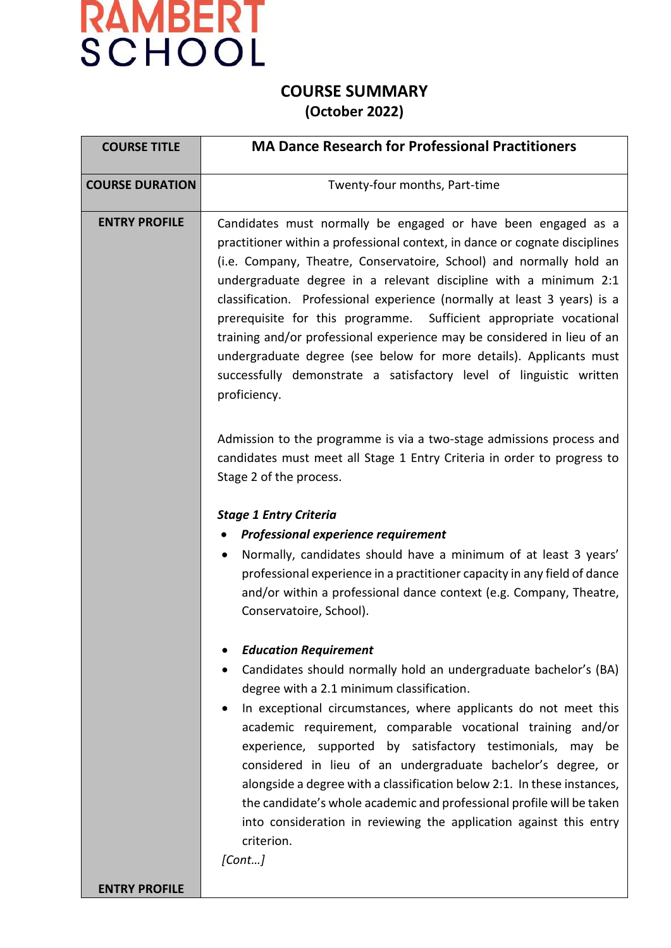

#### **COURSE SUMMARY (October 2022)**

| <b>COURSE TITLE</b>    | <b>MA Dance Research for Professional Practitioners</b>                                                                                                                                                                                                                                                                                                                                                                                                                                                                                                                                                                                                                           |  |  |  |  |  |  |
|------------------------|-----------------------------------------------------------------------------------------------------------------------------------------------------------------------------------------------------------------------------------------------------------------------------------------------------------------------------------------------------------------------------------------------------------------------------------------------------------------------------------------------------------------------------------------------------------------------------------------------------------------------------------------------------------------------------------|--|--|--|--|--|--|
| <b>COURSE DURATION</b> | Twenty-four months, Part-time                                                                                                                                                                                                                                                                                                                                                                                                                                                                                                                                                                                                                                                     |  |  |  |  |  |  |
| <b>ENTRY PROFILE</b>   | Candidates must normally be engaged or have been engaged as a<br>practitioner within a professional context, in dance or cognate disciplines<br>(i.e. Company, Theatre, Conservatoire, School) and normally hold an<br>undergraduate degree in a relevant discipline with a minimum 2:1<br>classification. Professional experience (normally at least 3 years) is a<br>prerequisite for this programme. Sufficient appropriate vocational<br>training and/or professional experience may be considered in lieu of an<br>undergraduate degree (see below for more details). Applicants must<br>successfully demonstrate a satisfactory level of linguistic written<br>proficiency. |  |  |  |  |  |  |
|                        | Admission to the programme is via a two-stage admissions process and<br>candidates must meet all Stage 1 Entry Criteria in order to progress to<br>Stage 2 of the process.                                                                                                                                                                                                                                                                                                                                                                                                                                                                                                        |  |  |  |  |  |  |
|                        | <b>Stage 1 Entry Criteria</b><br>Professional experience requirement<br>٠<br>Normally, candidates should have a minimum of at least 3 years'<br>٠<br>professional experience in a practitioner capacity in any field of dance<br>and/or within a professional dance context (e.g. Company, Theatre,<br>Conservatoire, School).                                                                                                                                                                                                                                                                                                                                                    |  |  |  |  |  |  |
|                        | <b>Education Requirement</b><br>Candidates should normally hold an undergraduate bachelor's (BA)<br>degree with a 2.1 minimum classification.<br>In exceptional circumstances, where applicants do not meet this<br>academic requirement, comparable vocational training and/or<br>experience, supported by satisfactory testimonials, may be<br>considered in lieu of an undergraduate bachelor's degree, or<br>alongside a degree with a classification below 2:1. In these instances,<br>the candidate's whole academic and professional profile will be taken<br>into consideration in reviewing the application against this entry<br>criterion.<br>[Cont]                   |  |  |  |  |  |  |
| <b>ENTRY PROFILE</b>   |                                                                                                                                                                                                                                                                                                                                                                                                                                                                                                                                                                                                                                                                                   |  |  |  |  |  |  |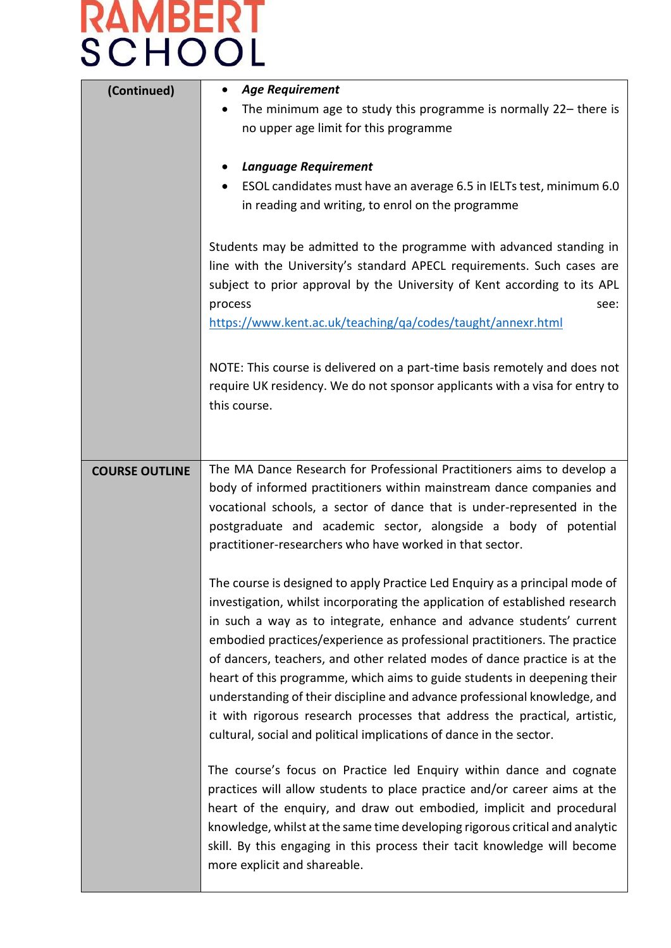| (Continued)           | <b>Age Requirement</b><br>The minimum age to study this programme is normally 22– there is<br>no upper age limit for this programme<br><b>Language Requirement</b><br>ESOL candidates must have an average 6.5 in IELTs test, minimum 6.0<br>in reading and writing, to enrol on the programme<br>Students may be admitted to the programme with advanced standing in<br>line with the University's standard APECL requirements. Such cases are<br>subject to prior approval by the University of Kent according to its APL<br>process<br>see:<br>https://www.kent.ac.uk/teaching/qa/codes/taught/annexr.html                                                                                             |
|-----------------------|-----------------------------------------------------------------------------------------------------------------------------------------------------------------------------------------------------------------------------------------------------------------------------------------------------------------------------------------------------------------------------------------------------------------------------------------------------------------------------------------------------------------------------------------------------------------------------------------------------------------------------------------------------------------------------------------------------------|
|                       | NOTE: This course is delivered on a part-time basis remotely and does not<br>require UK residency. We do not sponsor applicants with a visa for entry to<br>this course.                                                                                                                                                                                                                                                                                                                                                                                                                                                                                                                                  |
| <b>COURSE OUTLINE</b> | The MA Dance Research for Professional Practitioners aims to develop a<br>body of informed practitioners within mainstream dance companies and<br>vocational schools, a sector of dance that is under-represented in the<br>postgraduate and academic sector, alongside a body of potential<br>practitioner-researchers who have worked in that sector.                                                                                                                                                                                                                                                                                                                                                   |
|                       | The course is designed to apply Practice Led Enquiry as a principal mode of<br>investigation, whilst incorporating the application of established research<br>in such a way as to integrate, enhance and advance students' current<br>embodied practices/experience as professional practitioners. The practice<br>of dancers, teachers, and other related modes of dance practice is at the<br>heart of this programme, which aims to guide students in deepening their<br>understanding of their discipline and advance professional knowledge, and<br>it with rigorous research processes that address the practical, artistic,<br>cultural, social and political implications of dance in the sector. |
|                       | The course's focus on Practice led Enquiry within dance and cognate<br>practices will allow students to place practice and/or career aims at the<br>heart of the enquiry, and draw out embodied, implicit and procedural<br>knowledge, whilst at the same time developing rigorous critical and analytic<br>skill. By this engaging in this process their tacit knowledge will become<br>more explicit and shareable.                                                                                                                                                                                                                                                                                     |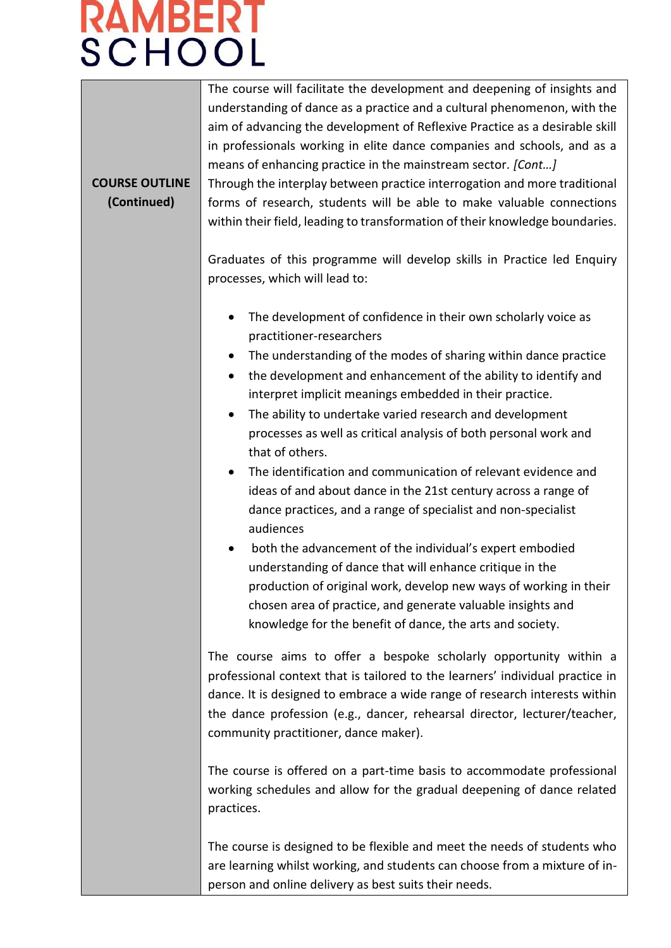**COURSE OUTLINE (Continued)** The course will facilitate the development and deepening of insights and understanding of dance as a practice and a cultural phenomenon, with the aim of advancing the development of Reflexive Practice as a desirable skill in professionals working in elite dance companies and schools, and as a means of enhancing practice in the mainstream sector. *[Cont…]* Through the interplay between practice interrogation and more traditional forms of research, students will be able to make valuable connections within their field, leading to transformation of their knowledge boundaries. Graduates of this programme will develop skills in Practice led Enquiry processes, which will lead to: • The development of confidence in their own scholarly voice as practitioner-researchers • The understanding of the modes of sharing within dance practice • the development and enhancement of the ability to identify and interpret implicit meanings embedded in their practice. • The ability to undertake varied research and development processes as well as critical analysis of both personal work and that of others. • The identification and communication of relevant evidence and ideas of and about dance in the 21st century across a range of dance practices, and a range of specialist and non-specialist audiences • both the advancement of the individual's expert embodied understanding of dance that will enhance critique in the production of original work, develop new ways of working in their chosen area of practice, and generate valuable insights and knowledge for the benefit of dance, the arts and society. The course aims to offer a bespoke scholarly opportunity within a professional context that is tailored to the learners' individual practice in dance. It is designed to embrace a wide range of research interests within the dance profession (e.g., dancer, rehearsal director, lecturer/teacher, community practitioner, dance maker). The course is offered on a part-time basis to accommodate professional working schedules and allow for the gradual deepening of dance related practices. The course is designed to be flexible and meet the needs of students who are learning whilst working, and students can choose from a mixture of inperson and online delivery as best suits their needs.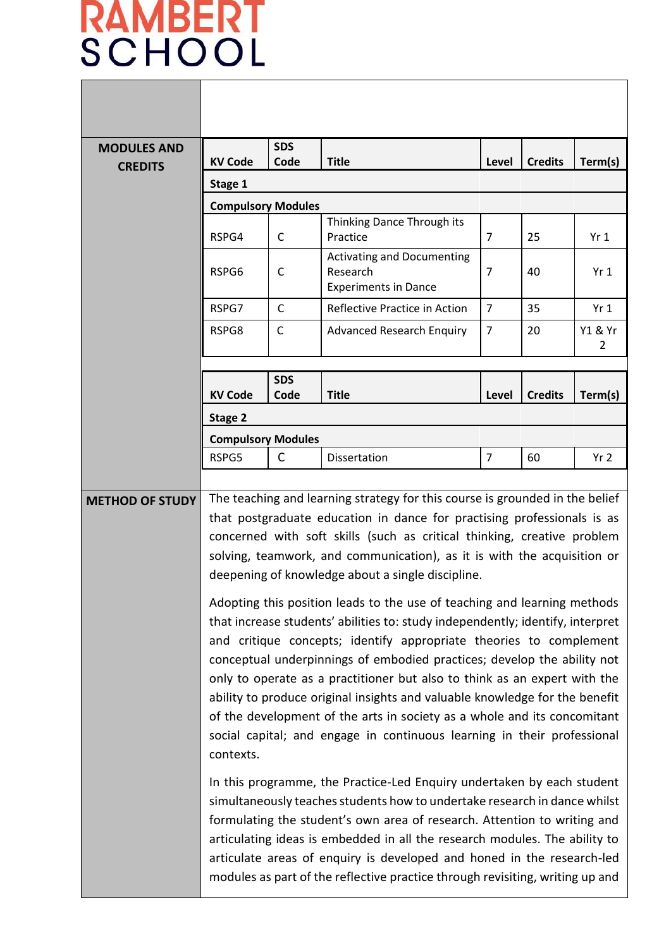Г

|                                                                                                                                                                                                                                                                                                                                                                                                                                                                                                                                                                                                                                                                                                                                                                                                                                                                                                                                                                                                                                                                                                                                                                                                                                                                                                                                                                                                                                        | <b>SDS</b>   |                                                                              |                |                | Term(s)         |  |
|----------------------------------------------------------------------------------------------------------------------------------------------------------------------------------------------------------------------------------------------------------------------------------------------------------------------------------------------------------------------------------------------------------------------------------------------------------------------------------------------------------------------------------------------------------------------------------------------------------------------------------------------------------------------------------------------------------------------------------------------------------------------------------------------------------------------------------------------------------------------------------------------------------------------------------------------------------------------------------------------------------------------------------------------------------------------------------------------------------------------------------------------------------------------------------------------------------------------------------------------------------------------------------------------------------------------------------------------------------------------------------------------------------------------------------------|--------------|------------------------------------------------------------------------------|----------------|----------------|-----------------|--|
|                                                                                                                                                                                                                                                                                                                                                                                                                                                                                                                                                                                                                                                                                                                                                                                                                                                                                                                                                                                                                                                                                                                                                                                                                                                                                                                                                                                                                                        |              |                                                                              |                |                |                 |  |
| <b>Compulsory Modules</b>                                                                                                                                                                                                                                                                                                                                                                                                                                                                                                                                                                                                                                                                                                                                                                                                                                                                                                                                                                                                                                                                                                                                                                                                                                                                                                                                                                                                              |              |                                                                              |                |                |                 |  |
| RSPG4                                                                                                                                                                                                                                                                                                                                                                                                                                                                                                                                                                                                                                                                                                                                                                                                                                                                                                                                                                                                                                                                                                                                                                                                                                                                                                                                                                                                                                  | C            | Thinking Dance Through its<br>Practice                                       | $\overline{7}$ | 25             | Yr1             |  |
| RSPG6                                                                                                                                                                                                                                                                                                                                                                                                                                                                                                                                                                                                                                                                                                                                                                                                                                                                                                                                                                                                                                                                                                                                                                                                                                                                                                                                                                                                                                  | $\mathsf{C}$ | <b>Activating and Documenting</b><br>Research<br><b>Experiments in Dance</b> | 7              | 40             | Yr <sub>1</sub> |  |
| RSPG7                                                                                                                                                                                                                                                                                                                                                                                                                                                                                                                                                                                                                                                                                                                                                                                                                                                                                                                                                                                                                                                                                                                                                                                                                                                                                                                                                                                                                                  | $\mathsf{C}$ | Reflective Practice in Action                                                | $\overline{7}$ | 35             | Yr <sub>1</sub> |  |
| $\mathsf{C}$<br>RSPG8<br><b>Advanced Research Enquiry</b>                                                                                                                                                                                                                                                                                                                                                                                                                                                                                                                                                                                                                                                                                                                                                                                                                                                                                                                                                                                                                                                                                                                                                                                                                                                                                                                                                                              |              | $\overline{7}$                                                               | 20             | Y1 & Yr<br>2   |                 |  |
|                                                                                                                                                                                                                                                                                                                                                                                                                                                                                                                                                                                                                                                                                                                                                                                                                                                                                                                                                                                                                                                                                                                                                                                                                                                                                                                                                                                                                                        |              |                                                                              |                |                |                 |  |
| <b>KV Code</b>                                                                                                                                                                                                                                                                                                                                                                                                                                                                                                                                                                                                                                                                                                                                                                                                                                                                                                                                                                                                                                                                                                                                                                                                                                                                                                                                                                                                                         | Code         | <b>Title</b>                                                                 | Level          | <b>Credits</b> | Term(s)         |  |
| Stage 2                                                                                                                                                                                                                                                                                                                                                                                                                                                                                                                                                                                                                                                                                                                                                                                                                                                                                                                                                                                                                                                                                                                                                                                                                                                                                                                                                                                                                                |              |                                                                              |                |                |                 |  |
|                                                                                                                                                                                                                                                                                                                                                                                                                                                                                                                                                                                                                                                                                                                                                                                                                                                                                                                                                                                                                                                                                                                                                                                                                                                                                                                                                                                                                                        |              |                                                                              |                |                |                 |  |
| RSPG5                                                                                                                                                                                                                                                                                                                                                                                                                                                                                                                                                                                                                                                                                                                                                                                                                                                                                                                                                                                                                                                                                                                                                                                                                                                                                                                                                                                                                                  |              | Dissertation                                                                 | $\overline{7}$ | 60             | Yr <sub>2</sub> |  |
| The teaching and learning strategy for this course is grounded in the belief<br><b>METHOD OF STUDY</b><br>that postgraduate education in dance for practising professionals is as<br>concerned with soft skills (such as critical thinking, creative problem<br>solving, teamwork, and communication), as it is with the acquisition or<br>deepening of knowledge about a single discipline.<br>Adopting this position leads to the use of teaching and learning methods<br>that increase students' abilities to: study independently; identify, interpret<br>and critique concepts; identify appropriate theories to complement<br>conceptual underpinnings of embodied practices; develop the ability not<br>only to operate as a practitioner but also to think as an expert with the<br>ability to produce original insights and valuable knowledge for the benefit<br>of the development of the arts in society as a whole and its concomitant<br>social capital; and engage in continuous learning in their professional<br>contexts.<br>In this programme, the Practice-Led Enquiry undertaken by each student<br>simultaneously teaches students how to undertake research in dance whilst<br>formulating the student's own area of research. Attention to writing and<br>articulating ideas is embedded in all the research modules. The ability to<br>articulate areas of enquiry is developed and honed in the research-led |              |                                                                              |                |                |                 |  |
|                                                                                                                                                                                                                                                                                                                                                                                                                                                                                                                                                                                                                                                                                                                                                                                                                                                                                                                                                                                                                                                                                                                                                                                                                                                                                                                                                                                                                                        |              |                                                                              |                |                |                 |  |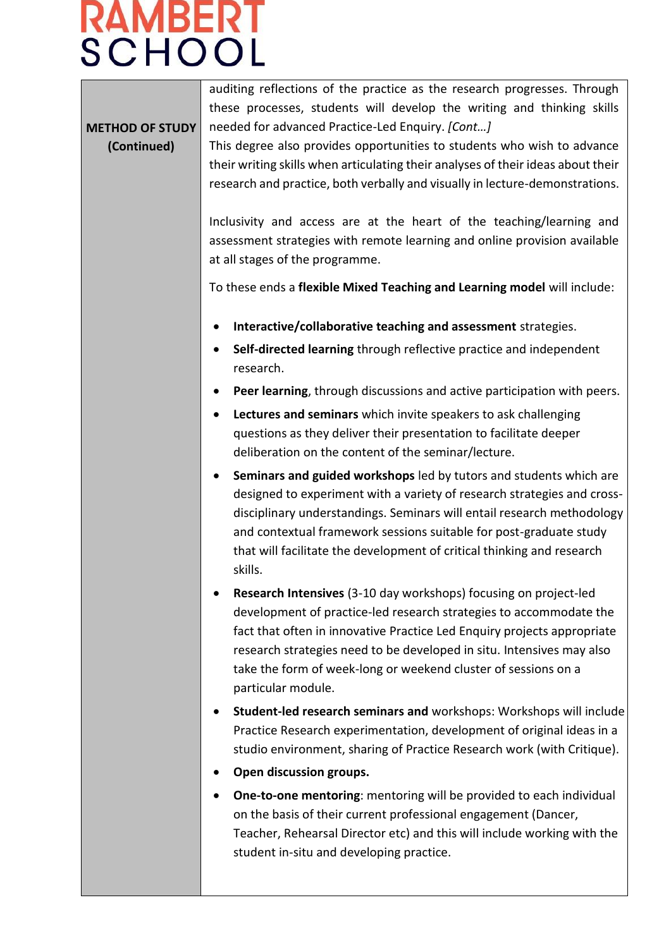### RAMBERT **SCHOOL**

**METHOD OF STUDY (Continued)**

auditing reflections of the practice as the research progresses. Through these processes, students will develop the writing and thinking skills needed for advanced Practice-Led Enquiry. *[Cont…]*

This degree also provides opportunities to students who wish to advance their writing skills when articulating their analyses of their ideas about their research and practice, both verbally and visually in lecture-demonstrations.

Inclusivity and access are at the heart of the teaching/learning and assessment strategies with remote learning and online provision available at all stages of the programme.

To these ends a **flexible Mixed Teaching and Learning model** will include:

- **Interactive/collaborative teaching and assessment** strategies.
- **Self-directed learning** through reflective practice and independent research.
- **Peer learning**, through discussions and active participation with peers.
- **Lectures and seminars** which invite speakers to ask challenging questions as they deliver their presentation to facilitate deeper deliberation on the content of the seminar/lecture.
- **Seminars and guided workshops** led by tutors and students which are designed to experiment with a variety of research strategies and crossdisciplinary understandings. Seminars will entail research methodology and contextual framework sessions suitable for post-graduate study that will facilitate the development of critical thinking and research skills.
- **Research Intensives** (3-10 day workshops) focusing on project-led development of practice-led research strategies to accommodate the fact that often in innovative Practice Led Enquiry projects appropriate research strategies need to be developed in situ. Intensives may also take the form of week-long or weekend cluster of sessions on a particular module.
- **Student-led research seminars and** workshops: Workshops will include Practice Research experimentation, development of original ideas in a studio environment, sharing of Practice Research work (with Critique).
- **Open discussion groups.**
- **One-to-one mentoring**: mentoring will be provided to each individual on the basis of their current professional engagement (Dancer, Teacher, Rehearsal Director etc) and this will include working with the student in-situ and developing practice.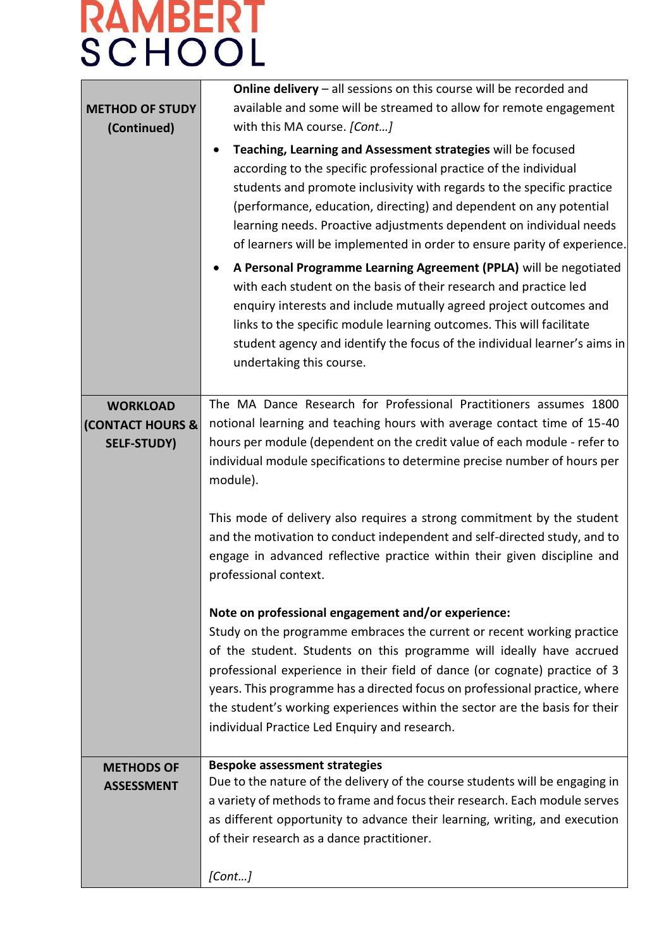| <b>METHOD OF STUDY</b><br>(Continued)          | <b>Online delivery</b> $-$ all sessions on this course will be recorded and<br>available and some will be streamed to allow for remote engagement<br>with this MA course. [Cont]<br>Teaching, Learning and Assessment strategies will be focused<br>$\bullet$<br>according to the specific professional practice of the individual<br>students and promote inclusivity with regards to the specific practice<br>(performance, education, directing) and dependent on any potential<br>learning needs. Proactive adjustments dependent on individual needs<br>of learners will be implemented in order to ensure parity of experience.<br>A Personal Programme Learning Agreement (PPLA) will be negotiated<br>$\bullet$<br>with each student on the basis of their research and practice led<br>enquiry interests and include mutually agreed project outcomes and<br>links to the specific module learning outcomes. This will facilitate<br>student agency and identify the focus of the individual learner's aims in<br>undertaking this course. |  |  |  |  |  |
|------------------------------------------------|-----------------------------------------------------------------------------------------------------------------------------------------------------------------------------------------------------------------------------------------------------------------------------------------------------------------------------------------------------------------------------------------------------------------------------------------------------------------------------------------------------------------------------------------------------------------------------------------------------------------------------------------------------------------------------------------------------------------------------------------------------------------------------------------------------------------------------------------------------------------------------------------------------------------------------------------------------------------------------------------------------------------------------------------------------|--|--|--|--|--|
| <b>WORKLOAD</b><br><b>(CONTACT HOURS &amp;</b> | The MA Dance Research for Professional Practitioners assumes 1800<br>notional learning and teaching hours with average contact time of 15-40                                                                                                                                                                                                                                                                                                                                                                                                                                                                                                                                                                                                                                                                                                                                                                                                                                                                                                        |  |  |  |  |  |
| <b>SELF-STUDY)</b>                             | hours per module (dependent on the credit value of each module - refer to<br>individual module specifications to determine precise number of hours per<br>module).<br>This mode of delivery also requires a strong commitment by the student<br>and the motivation to conduct independent and self-directed study, and to<br>engage in advanced reflective practice within their given discipline and<br>professional context.                                                                                                                                                                                                                                                                                                                                                                                                                                                                                                                                                                                                                      |  |  |  |  |  |
|                                                | Note on professional engagement and/or experience:<br>Study on the programme embraces the current or recent working practice<br>of the student. Students on this programme will ideally have accrued<br>professional experience in their field of dance (or cognate) practice of 3<br>years. This programme has a directed focus on professional practice, where<br>the student's working experiences within the sector are the basis for their<br>individual Practice Led Enquiry and research.                                                                                                                                                                                                                                                                                                                                                                                                                                                                                                                                                    |  |  |  |  |  |
| <b>METHODS OF</b><br><b>ASSESSMENT</b>         | <b>Bespoke assessment strategies</b><br>Due to the nature of the delivery of the course students will be engaging in                                                                                                                                                                                                                                                                                                                                                                                                                                                                                                                                                                                                                                                                                                                                                                                                                                                                                                                                |  |  |  |  |  |
|                                                | a variety of methods to frame and focus their research. Each module serves<br>as different opportunity to advance their learning, writing, and execution<br>of their research as a dance practitioner.                                                                                                                                                                                                                                                                                                                                                                                                                                                                                                                                                                                                                                                                                                                                                                                                                                              |  |  |  |  |  |
|                                                | [Cont]                                                                                                                                                                                                                                                                                                                                                                                                                                                                                                                                                                                                                                                                                                                                                                                                                                                                                                                                                                                                                                              |  |  |  |  |  |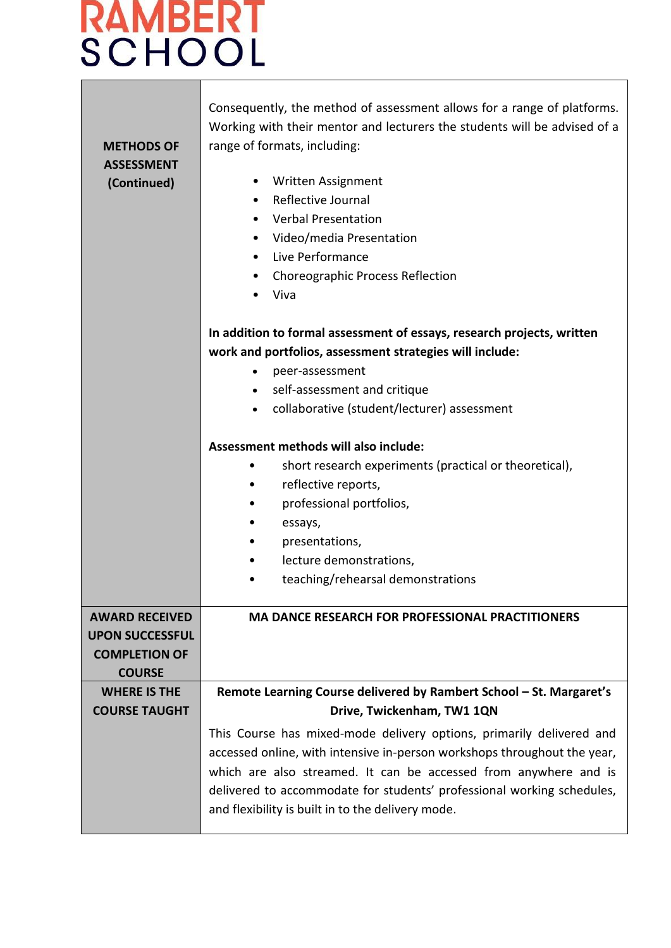| <b>METHODS OF</b><br><b>ASSESSMENT</b><br>(Continued)                                    | Consequently, the method of assessment allows for a range of platforms.<br>Working with their mentor and lecturers the students will be advised of a<br>range of formats, including:<br>Written Assignment<br>Reflective Journal<br><b>Verbal Presentation</b><br>Video/media Presentation<br>٠<br>Live Performance<br>$\bullet$<br><b>Choreographic Process Reflection</b><br>٠<br>Viva |
|------------------------------------------------------------------------------------------|------------------------------------------------------------------------------------------------------------------------------------------------------------------------------------------------------------------------------------------------------------------------------------------------------------------------------------------------------------------------------------------|
|                                                                                          | In addition to formal assessment of essays, research projects, written                                                                                                                                                                                                                                                                                                                   |
|                                                                                          | work and portfolios, assessment strategies will include:                                                                                                                                                                                                                                                                                                                                 |
|                                                                                          | peer-assessment<br>$\bullet$                                                                                                                                                                                                                                                                                                                                                             |
|                                                                                          | self-assessment and critique<br>$\bullet$                                                                                                                                                                                                                                                                                                                                                |
|                                                                                          | collaborative (student/lecturer) assessment                                                                                                                                                                                                                                                                                                                                              |
|                                                                                          |                                                                                                                                                                                                                                                                                                                                                                                          |
|                                                                                          | Assessment methods will also include:                                                                                                                                                                                                                                                                                                                                                    |
|                                                                                          | short research experiments (practical or theoretical),<br>$\bullet$                                                                                                                                                                                                                                                                                                                      |
|                                                                                          | reflective reports,<br>٠                                                                                                                                                                                                                                                                                                                                                                 |
|                                                                                          | professional portfolios,<br>٠                                                                                                                                                                                                                                                                                                                                                            |
|                                                                                          | essays,                                                                                                                                                                                                                                                                                                                                                                                  |
|                                                                                          | presentations,                                                                                                                                                                                                                                                                                                                                                                           |
|                                                                                          | lecture demonstrations,<br>٠                                                                                                                                                                                                                                                                                                                                                             |
|                                                                                          | teaching/rehearsal demonstrations                                                                                                                                                                                                                                                                                                                                                        |
| <b>AWARD RECEIVED</b><br><b>UPON SUCCESSFUL</b><br><b>COMPLETION OF</b><br><b>COURSE</b> | <b>MA DANCE RESEARCH FOR PROFESSIONAL PRACTITIONERS</b>                                                                                                                                                                                                                                                                                                                                  |
| <b>WHERE IS THE</b>                                                                      | Remote Learning Course delivered by Rambert School - St. Margaret's                                                                                                                                                                                                                                                                                                                      |
| <b>COURSE TAUGHT</b>                                                                     | Drive, Twickenham, TW1 1QN                                                                                                                                                                                                                                                                                                                                                               |
|                                                                                          | This Course has mixed-mode delivery options, primarily delivered and<br>accessed online, with intensive in-person workshops throughout the year,<br>which are also streamed. It can be accessed from anywhere and is<br>delivered to accommodate for students' professional working schedules,<br>and flexibility is built in to the delivery mode.                                      |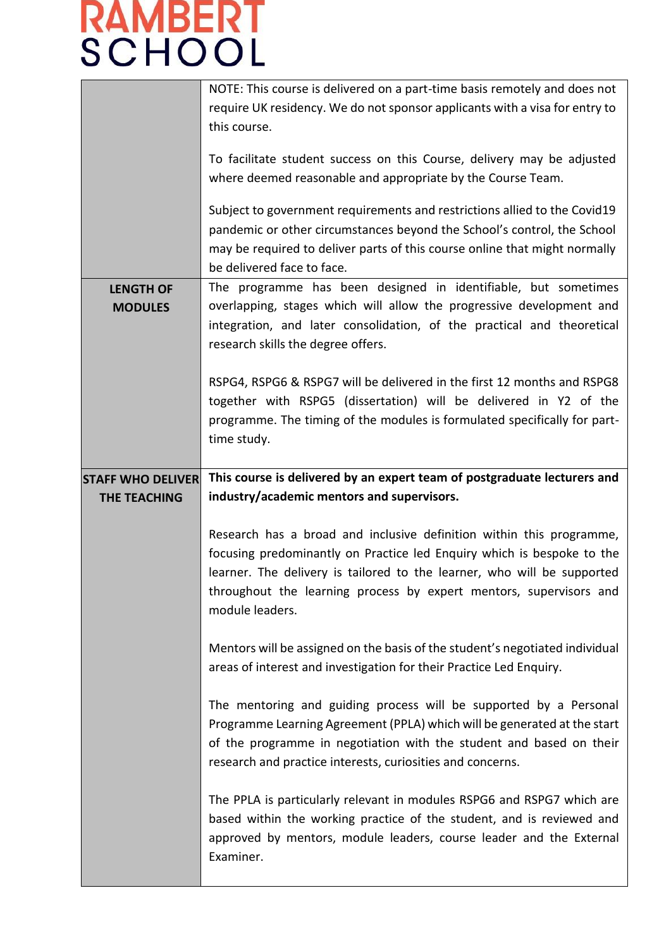|                                    | NOTE: This course is delivered on a part-time basis remotely and does not<br>require UK residency. We do not sponsor applicants with a visa for entry to<br>this course.<br>To facilitate student success on this Course, delivery may be adjusted<br>where deemed reasonable and appropriate by the Course Team.<br>Subject to government requirements and restrictions allied to the Covid19<br>pandemic or other circumstances beyond the School's control, the School<br>may be required to deliver parts of this course online that might normally<br>be delivered face to face. |  |  |  |  |  |
|------------------------------------|---------------------------------------------------------------------------------------------------------------------------------------------------------------------------------------------------------------------------------------------------------------------------------------------------------------------------------------------------------------------------------------------------------------------------------------------------------------------------------------------------------------------------------------------------------------------------------------|--|--|--|--|--|
| <b>LENGTH OF</b><br><b>MODULES</b> | The programme has been designed in identifiable, but sometimes<br>overlapping, stages which will allow the progressive development and<br>integration, and later consolidation, of the practical and theoretical<br>research skills the degree offers.                                                                                                                                                                                                                                                                                                                                |  |  |  |  |  |
|                                    | RSPG4, RSPG6 & RSPG7 will be delivered in the first 12 months and RSPG8<br>together with RSPG5 (dissertation) will be delivered in Y2 of the<br>programme. The timing of the modules is formulated specifically for part-<br>time study.                                                                                                                                                                                                                                                                                                                                              |  |  |  |  |  |
| <b>STAFF WHO DELIVER</b>           | This course is delivered by an expert team of postgraduate lecturers and                                                                                                                                                                                                                                                                                                                                                                                                                                                                                                              |  |  |  |  |  |
|                                    | industry/academic mentors and supervisors.                                                                                                                                                                                                                                                                                                                                                                                                                                                                                                                                            |  |  |  |  |  |
| <b>THE TEACHING</b>                |                                                                                                                                                                                                                                                                                                                                                                                                                                                                                                                                                                                       |  |  |  |  |  |
|                                    | Research has a broad and inclusive definition within this programme,<br>focusing predominantly on Practice led Enquiry which is bespoke to the<br>learner. The delivery is tailored to the learner, who will be supported<br>throughout the learning process by expert mentors, supervisors and<br>module leaders.                                                                                                                                                                                                                                                                    |  |  |  |  |  |
|                                    | Mentors will be assigned on the basis of the student's negotiated individual<br>areas of interest and investigation for their Practice Led Enquiry.                                                                                                                                                                                                                                                                                                                                                                                                                                   |  |  |  |  |  |
|                                    | The mentoring and guiding process will be supported by a Personal<br>Programme Learning Agreement (PPLA) which will be generated at the start<br>of the programme in negotiation with the student and based on their<br>research and practice interests, curiosities and concerns.                                                                                                                                                                                                                                                                                                    |  |  |  |  |  |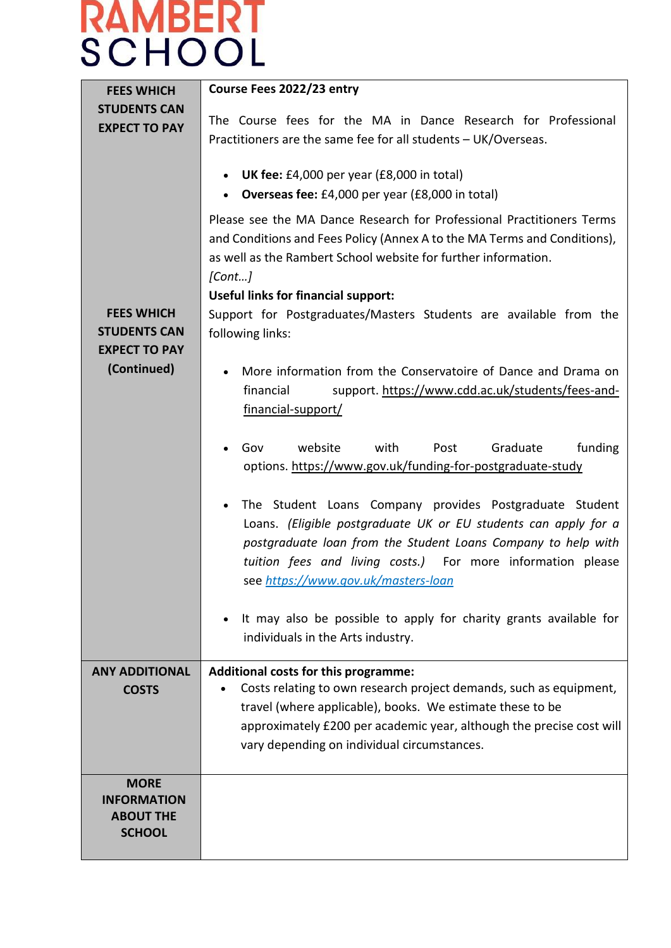| <b>FEES WHICH</b>                                                               | Course Fees 2022/23 entry                                                                                                                                                                                                                                                                         |  |  |  |  |  |
|---------------------------------------------------------------------------------|---------------------------------------------------------------------------------------------------------------------------------------------------------------------------------------------------------------------------------------------------------------------------------------------------|--|--|--|--|--|
| <b>STUDENTS CAN</b><br><b>EXPECT TO PAY</b>                                     | The Course fees for the MA in Dance Research for Professional<br>Practitioners are the same fee for all students - UK/Overseas.                                                                                                                                                                   |  |  |  |  |  |
|                                                                                 | <b>UK fee:</b> £4,000 per year (£8,000 in total)<br>Overseas fee: £4,000 per year (£8,000 in total)                                                                                                                                                                                               |  |  |  |  |  |
|                                                                                 | Please see the MA Dance Research for Professional Practitioners Terms<br>and Conditions and Fees Policy (Annex A to the MA Terms and Conditions),<br>as well as the Rambert School website for further information.<br>[Cont]                                                                     |  |  |  |  |  |
| <b>FEES WHICH</b><br><b>STUDENTS CAN</b><br><b>EXPECT TO PAY</b><br>(Continued) | <b>Useful links for financial support:</b><br>Support for Postgraduates/Masters Students are available from the<br>following links:                                                                                                                                                               |  |  |  |  |  |
|                                                                                 | More information from the Conservatoire of Dance and Drama on<br>financial<br>support. https://www.cdd.ac.uk/students/fees-and-<br>financial-support/                                                                                                                                             |  |  |  |  |  |
|                                                                                 | website<br>with<br>funding<br>Gov<br>Post<br>Graduate<br>options. https://www.gov.uk/funding-for-postgraduate-study                                                                                                                                                                               |  |  |  |  |  |
|                                                                                 | The Student Loans Company provides Postgraduate Student<br>Loans. (Eligible postgraduate UK or EU students can apply for a<br>postgraduate loan from the Student Loans Company to help with<br>tuition fees and living costs.) For more information please<br>see https://www.gov.uk/masters-loan |  |  |  |  |  |
|                                                                                 | It may also be possible to apply for charity grants available for<br>individuals in the Arts industry.                                                                                                                                                                                            |  |  |  |  |  |
| <b>ANY ADDITIONAL</b><br><b>COSTS</b>                                           | Additional costs for this programme:<br>Costs relating to own research project demands, such as equipment,<br>travel (where applicable), books. We estimate these to be<br>approximately £200 per academic year, although the precise cost will<br>vary depending on individual circumstances.    |  |  |  |  |  |
| <b>MORE</b><br><b>INFORMATION</b><br><b>ABOUT THE</b><br><b>SCHOOL</b>          |                                                                                                                                                                                                                                                                                                   |  |  |  |  |  |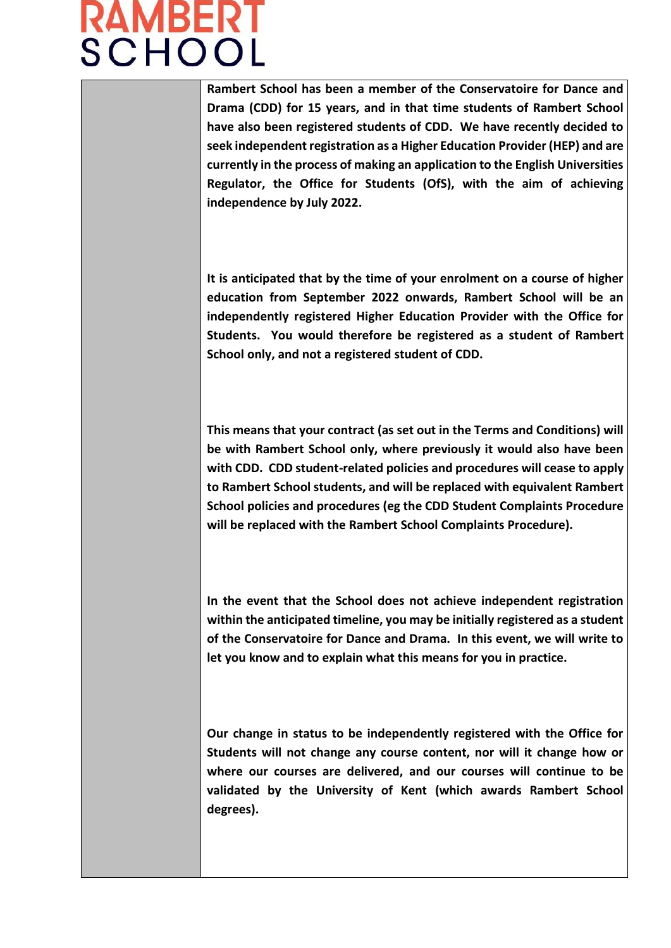### **RAMBERT SCHOOL**

**Rambert School has been a member of the Conservatoire for Dance and Drama (CDD) for 15 years, and in that time students of Rambert School have also been registered students of CDD. We have recently decided to seek independent registration as a Higher Education Provider (HEP) and are currently in the process of making an application to the English Universities Regulator, the Office for Students (OfS), with the aim of achieving independence by July 2022.**

**It is anticipated that by the time of your enrolment on a course of higher education from September 2022 onwards, Rambert School will be an independently registered Higher Education Provider with the Office for Students. You would therefore be registered as a student of Rambert School only, and not a registered student of CDD.** 

**This means that your contract (as set out in the Terms and Conditions) will be with Rambert School only, where previously it would also have been with CDD. CDD student-related policies and procedures will cease to apply to Rambert School students, and will be replaced with equivalent Rambert School policies and procedures (eg the CDD Student Complaints Procedure will be replaced with the Rambert School Complaints Procedure).**

**In the event that the School does not achieve independent registration within the anticipated timeline, you may be initially registered as a student of the Conservatoire for Dance and Drama. In this event, we will write to let you know and to explain what this means for you in practice.**

**Our change in status to be independently registered with the Office for Students will not change any course content, nor will it change how or where our courses are delivered, and our courses will continue to be validated by the University of Kent (which awards Rambert School degrees).**